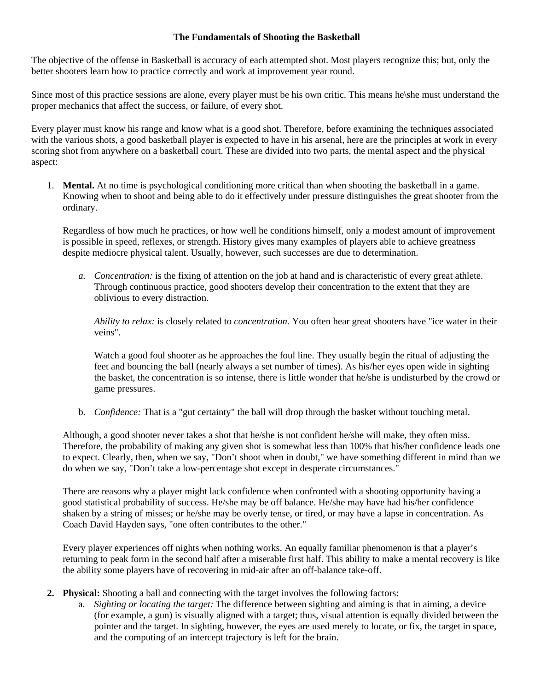## **The Fundamentals of Shooting the Basketball**

The objective of the offense in Basketball is accuracy of each attempted shot. Most players recognize this; but, only the better shooters learn how to practice correctly and work at improvement year round.

Since most of this practice sessions are alone, every player must be his own critic. This means he\she must understand the proper mechanics that affect the success, or failure, of every shot.

Every player must know his range and know what is a good shot. Therefore, before examining the techniques associated with the various shots, a good basketball player is expected to have in his arsenal, here are the principles at work in every scoring shot from anywhere on a basketball court. These are divided into two parts, the mental aspect and the physical aspect:

1. **Mental.** At no time is psychological conditioning more critical than when shooting the basketball in a game. Knowing when to shoot and being able to do it effectively under pressure distinguishes the great shooter from the ordinary.

Regardless of how much he practices, or how well he conditions himself, only a modest amount of improvement is possible in speed, reflexes, or strength. History gives many examples of players able to achieve greatness despite mediocre physical talent. Usually, however, such successes are due to determination.

*a. Concentration:* is the fixing of attention on the job at hand and is characteristic of every great athlete. Through continuous practice, good shooters develop their concentration to the extent that they are oblivious to every distraction.

*Ability to relax:* is closely related to *concentration.* You often hear great shooters have "ice water in their veins".

Watch a good foul shooter as he approaches the foul line. They usually begin the ritual of adjusting the feet and bouncing the ball (nearly always a set number of times). As his/her eyes open wide in sighting the basket, the concentration is so intense, there is little wonder that he/she is undisturbed by the crowd or game pressures.

b. *Confidence:* That is a "gut certainty" the ball will drop through the basket without touching metal.

Although, a good shooter never takes a shot that he/she is not confident he/she will make, they often miss. Therefore, the probability of making any given shot is somewhat less than 100% that his/her confidence leads one to expect. Clearly, then, when we say, "Don't shoot when in doubt," we have something different in mind than we do when we say, "Don't take a low-percentage shot except in desperate circumstances."

There are reasons why a player might lack confidence when confronted with a shooting opportunity having a good statistical probability of success. He/she may be off balance. He/she may have had his/her confidence shaken by a string of misses; or he/she may be overly tense, or tired, or may have a lapse in concentration. As Coach David Hayden says, "one often contributes to the other."

Every player experiences off nights when nothing works. An equally familiar phenomenon is that a player's returning to peak form in the second half after a miserable first half. This ability to make a mental recovery is like the ability some players have of recovering in mid-air after an off-balance take-off.

- **2. Physical:** Shooting a ball and connecting with the target involves the following factors:
	- a. *Sighting or locating the target:* The difference between sighting and aiming is that in aiming, a device (for example, a gun) is visually aligned with a target; thus, visual attention is equally divided between the pointer and the target. In sighting, however, the eyes are used merely to locate, or fix, the target in space, and the computing of an intercept trajectory is left for the brain.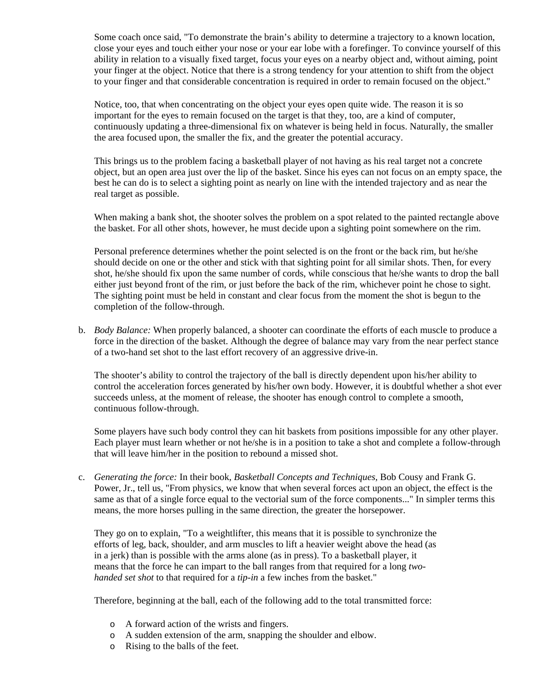Some coach once said, "To demonstrate the brain's ability to determine a trajectory to a known location, close your eyes and touch either your nose or your ear lobe with a forefinger. To convince yourself of this ability in relation to a visually fixed target, focus your eyes on a nearby object and, without aiming, point your finger at the object. Notice that there is a strong tendency for your attention to shift from the object to your finger and that considerable concentration is required in order to remain focused on the object."

Notice, too, that when concentrating on the object your eyes open quite wide. The reason it is so important for the eyes to remain focused on the target is that they, too, are a kind of computer, continuously updating a three-dimensional fix on whatever is being held in focus. Naturally, the smaller the area focused upon, the smaller the fix, and the greater the potential accuracy.

This brings us to the problem facing a basketball player of not having as his real target not a concrete object, but an open area just over the lip of the basket. Since his eyes can not focus on an empty space, the best he can do is to select a sighting point as nearly on line with the intended trajectory and as near the real target as possible.

When making a bank shot, the shooter solves the problem on a spot related to the painted rectangle above the basket. For all other shots, however, he must decide upon a sighting point somewhere on the rim.

Personal preference determines whether the point selected is on the front or the back rim, but he/she should decide on one or the other and stick with that sighting point for all similar shots. Then, for every shot, he/she should fix upon the same number of cords, while conscious that he/she wants to drop the ball either just beyond front of the rim, or just before the back of the rim, whichever point he chose to sight. The sighting point must be held in constant and clear focus from the moment the shot is begun to the completion of the follow-through.

b. *Body Balance:* When properly balanced, a shooter can coordinate the efforts of each muscle to produce a force in the direction of the basket. Although the degree of balance may vary from the near perfect stance of a two-hand set shot to the last effort recovery of an aggressive drive-in.

The shooter's ability to control the trajectory of the ball is directly dependent upon his/her ability to control the acceleration forces generated by his/her own body. However, it is doubtful whether a shot ever succeeds unless, at the moment of release, the shooter has enough control to complete a smooth, continuous follow-through.

Some players have such body control they can hit baskets from positions impossible for any other player. Each player must learn whether or not he/she is in a position to take a shot and complete a follow-through that will leave him/her in the position to rebound a missed shot.

c. *Generating the force:* In their book, *Basketball Concepts and Techniques,* Bob Cousy and Frank G. Power, Jr., tell us, "From physics, we know that when several forces act upon an object, the effect is the same as that of a single force equal to the vectorial sum of the force components..." In simpler terms this means, the more horses pulling in the same direction, the greater the horsepower.

They go on to explain, "To a weightlifter, this means that it is possible to synchronize the efforts of leg, back, shoulder, and arm muscles to lift a heavier weight above the head (as in a jerk) than is possible with the arms alone (as in press). To a basketball player, it means that the force he can impart to the ball ranges from that required for a long *twohanded set shot* to that required for a *tip-in* a few inches from the basket."

Therefore, beginning at the ball, each of the following add to the total transmitted force:

- o A forward action of the wrists and fingers.
- o A sudden extension of the arm, snapping the shoulder and elbow.
- o Rising to the balls of the feet.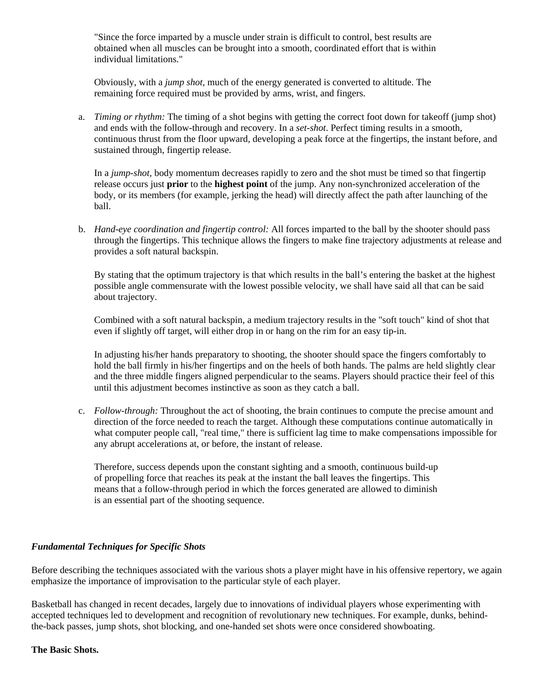"Since the force imparted by a muscle under strain is difficult to control, best results are obtained when all muscles can be brought into a smooth, coordinated effort that is within individual limitations."

Obviously, with a *jump shot,* much of the energy generated is converted to altitude. The remaining force required must be provided by arms, wrist, and fingers.

a. *Timing or rhythm:* The timing of a shot begins with getting the correct foot down for takeoff (jump shot) and ends with the follow-through and recovery. In a *set-shot*. Perfect timing results in a smooth, continuous thrust from the floor upward, developing a peak force at the fingertips, the instant before, and sustained through, fingertip release.

In a *jump-shot*, body momentum decreases rapidly to zero and the shot must be timed so that fingertip release occurs just **prior** to the **highest point** of the jump. Any non-synchronized acceleration of the body, or its members (for example, jerking the head) will directly affect the path after launching of the ball.

b. *Hand-eye coordination and fingertip control:* All forces imparted to the ball by the shooter should pass through the fingertips. This technique allows the fingers to make fine trajectory adjustments at release and provides a soft natural backspin.

By stating that the optimum trajectory is that which results in the ball's entering the basket at the highest possible angle commensurate with the lowest possible velocity, we shall have said all that can be said about trajectory.

Combined with a soft natural backspin, a medium trajectory results in the "soft touch" kind of shot that even if slightly off target, will either drop in or hang on the rim for an easy tip-in.

In adjusting his/her hands preparatory to shooting, the shooter should space the fingers comfortably to hold the ball firmly in his/her fingertips and on the heels of both hands. The palms are held slightly clear and the three middle fingers aligned perpendicular to the seams. Players should practice their feel of this until this adjustment becomes instinctive as soon as they catch a ball.

c. *Follow-through:* Throughout the act of shooting, the brain continues to compute the precise amount and direction of the force needed to reach the target. Although these computations continue automatically in what computer people call, "real time," there is sufficient lag time to make compensations impossible for any abrupt accelerations at, or before, the instant of release.

Therefore, success depends upon the constant sighting and a smooth, continuous build-up of propelling force that reaches its peak at the instant the ball leaves the fingertips. This means that a follow-through period in which the forces generated are allowed to diminish is an essential part of the shooting sequence.

## *Fundamental Techniques for Specific Shots*

Before describing the techniques associated with the various shots a player might have in his offensive repertory, we again emphasize the importance of improvisation to the particular style of each player.

Basketball has changed in recent decades, largely due to innovations of individual players whose experimenting with accepted techniques led to development and recognition of revolutionary new techniques. For example, dunks, behindthe-back passes, jump shots, shot blocking, and one-handed set shots were once considered showboating.

## **The Basic Shots.**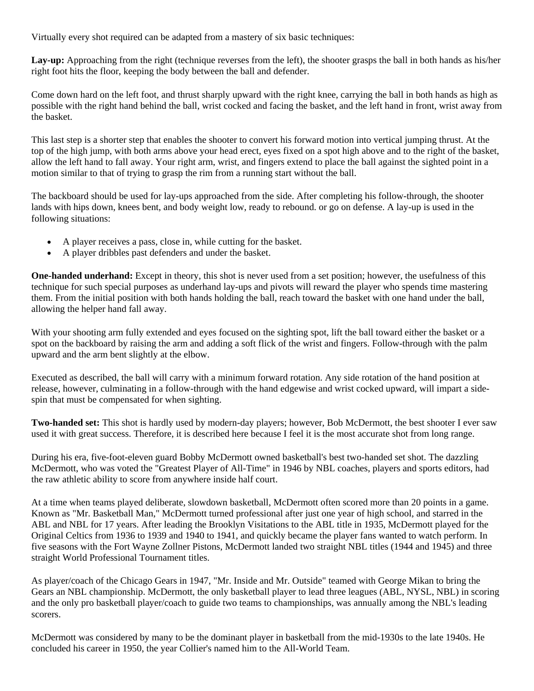Virtually every shot required can be adapted from a mastery of six basic techniques:

Lay-up: Approaching from the right (technique reverses from the left), the shooter grasps the ball in both hands as his/her right foot hits the floor, keeping the body between the ball and defender.

Come down hard on the left foot, and thrust sharply upward with the right knee, carrying the ball in both hands as high as possible with the right hand behind the ball, wrist cocked and facing the basket, and the left hand in front, wrist away from the basket.

This last step is a shorter step that enables the shooter to convert his forward motion into vertical jumping thrust. At the top of the high jump, with both arms above your head erect, eyes fixed on a spot high above and to the right of the basket, allow the left hand to fall away. Your right arm, wrist, and fingers extend to place the ball against the sighted point in a motion similar to that of trying to grasp the rim from a running start without the ball.

The backboard should be used for lay-ups approached from the side. After completing his follow-through, the shooter lands with hips down, knees bent, and body weight low, ready to rebound. or go on defense. A lay-up is used in the following situations:

- A player receives a pass, close in, while cutting for the basket.
- A player dribbles past defenders and under the basket.

**One-handed underhand:** Except in theory, this shot is never used from a set position; however, the usefulness of this technique for such special purposes as underhand lay-ups and pivots will reward the player who spends time mastering them. From the initial position with both hands holding the ball, reach toward the basket with one hand under the ball, allowing the helper hand fall away.

With your shooting arm fully extended and eyes focused on the sighting spot, lift the ball toward either the basket or a spot on the backboard by raising the arm and adding a soft flick of the wrist and fingers. Follow-through with the palm upward and the arm bent slightly at the elbow.

Executed as described, the ball will carry with a minimum forward rotation. Any side rotation of the hand position at release, however, culminating in a follow-through with the hand edgewise and wrist cocked upward, will impart a sidespin that must be compensated for when sighting.

**Two-handed set:** This shot is hardly used by modern-day players; however, Bob McDermott, the best shooter I ever saw used it with great success. Therefore, it is described here because I feel it is the most accurate shot from long range.

During his era, five-foot-eleven guard Bobby McDermott owned basketball's best two-handed set shot. The dazzling McDermott, who was voted the "Greatest Player of All-Time" in 1946 by NBL coaches, players and sports editors, had the raw athletic ability to score from anywhere inside half court.

At a time when teams played deliberate, slowdown basketball, McDermott often scored more than 20 points in a game. Known as "Mr. Basketball Man," McDermott turned professional after just one year of high school, and starred in the ABL and NBL for 17 years. After leading the Brooklyn Visitations to the ABL title in 1935, McDermott played for the Original Celtics from 1936 to 1939 and 1940 to 1941, and quickly became the player fans wanted to watch perform. In five seasons with the Fort Wayne Zollner Pistons, McDermott landed two straight NBL titles (1944 and 1945) and three straight World Professional Tournament titles.

As player/coach of the Chicago Gears in 1947, "Mr. Inside and Mr. Outside" teamed with George Mikan to bring the Gears an NBL championship. McDermott, the only basketball player to lead three leagues (ABL, NYSL, NBL) in scoring and the only pro basketball player/coach to guide two teams to championships, was annually among the NBL's leading scorers.

McDermott was considered by many to be the dominant player in basketball from the mid-1930s to the late 1940s. He concluded his career in 1950, the year Collier's named him to the All-World Team.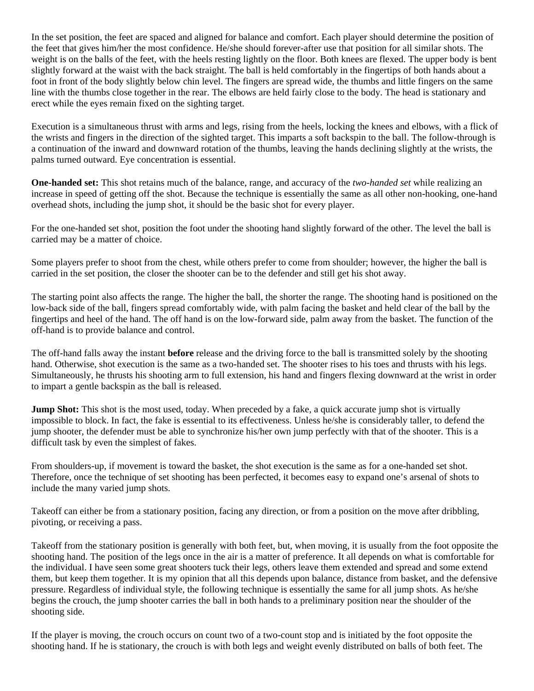In the set position, the feet are spaced and aligned for balance and comfort. Each player should determine the position of the feet that gives him/her the most confidence. He/she should forever-after use that position for all similar shots. The weight is on the balls of the feet, with the heels resting lightly on the floor. Both knees are flexed. The upper body is bent slightly forward at the waist with the back straight. The ball is held comfortably in the fingertips of both hands about a foot in front of the body slightly below chin level. The fingers are spread wide, the thumbs and little fingers on the same line with the thumbs close together in the rear. The elbows are held fairly close to the body. The head is stationary and erect while the eyes remain fixed on the sighting target.

Execution is a simultaneous thrust with arms and legs, rising from the heels, locking the knees and elbows, with a flick of the wrists and fingers in the direction of the sighted target. This imparts a soft backspin to the ball. The follow-through is a continuation of the inward and downward rotation of the thumbs, leaving the hands declining slightly at the wrists, the palms turned outward. Eye concentration is essential.

**One-handed set:** This shot retains much of the balance, range, and accuracy of the *two-handed set* while realizing an increase in speed of getting off the shot. Because the technique is essentially the same as all other non-hooking, one-hand overhead shots, including the jump shot, it should be the basic shot for every player.

For the one-handed set shot, position the foot under the shooting hand slightly forward of the other. The level the ball is carried may be a matter of choice.

Some players prefer to shoot from the chest, while others prefer to come from shoulder; however, the higher the ball is carried in the set position, the closer the shooter can be to the defender and still get his shot away.

The starting point also affects the range. The higher the ball, the shorter the range. The shooting hand is positioned on the low-back side of the ball, fingers spread comfortably wide, with palm facing the basket and held clear of the ball by the fingertips and heel of the hand. The off hand is on the low-forward side, palm away from the basket. The function of the off-hand is to provide balance and control.

The off-hand falls away the instant **before** release and the driving force to the ball is transmitted solely by the shooting hand. Otherwise, shot execution is the same as a two-handed set. The shooter rises to his toes and thrusts with his legs. Simultaneously, he thrusts his shooting arm to full extension, his hand and fingers flexing downward at the wrist in order to impart a gentle backspin as the ball is released.

**Jump Shot:** This shot is the most used, today. When preceded by a fake, a quick accurate jump shot is virtually impossible to block. In fact, the fake is essential to its effectiveness. Unless he/she is considerably taller, to defend the jump shooter, the defender must be able to synchronize his/her own jump perfectly with that of the shooter. This is a difficult task by even the simplest of fakes.

From shoulders-up, if movement is toward the basket, the shot execution is the same as for a one-handed set shot. Therefore, once the technique of set shooting has been perfected, it becomes easy to expand one's arsenal of shots to include the many varied jump shots.

Takeoff can either be from a stationary position, facing any direction, or from a position on the move after dribbling, pivoting, or receiving a pass.

Takeoff from the stationary position is generally with both feet, but, when moving, it is usually from the foot opposite the shooting hand. The position of the legs once in the air is a matter of preference. It all depends on what is comfortable for the individual. I have seen some great shooters tuck their legs, others leave them extended and spread and some extend them, but keep them together. It is my opinion that all this depends upon balance, distance from basket, and the defensive pressure. Regardless of individual style, the following technique is essentially the same for all jump shots. As he/she begins the crouch, the jump shooter carries the ball in both hands to a preliminary position near the shoulder of the shooting side.

If the player is moving, the crouch occurs on count two of a two-count stop and is initiated by the foot opposite the shooting hand. If he is stationary, the crouch is with both legs and weight evenly distributed on balls of both feet. The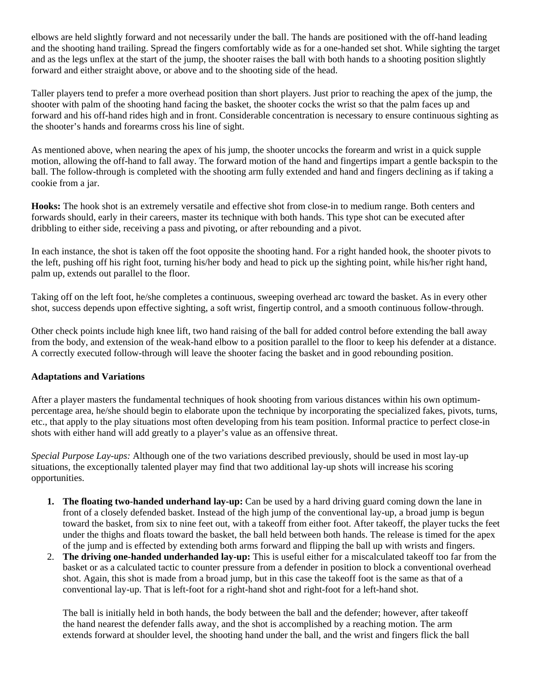elbows are held slightly forward and not necessarily under the ball. The hands are positioned with the off-hand leading and the shooting hand trailing. Spread the fingers comfortably wide as for a one-handed set shot. While sighting the target and as the legs unflex at the start of the jump, the shooter raises the ball with both hands to a shooting position slightly forward and either straight above, or above and to the shooting side of the head.

Taller players tend to prefer a more overhead position than short players. Just prior to reaching the apex of the jump, the shooter with palm of the shooting hand facing the basket, the shooter cocks the wrist so that the palm faces up and forward and his off-hand rides high and in front. Considerable concentration is necessary to ensure continuous sighting as the shooter's hands and forearms cross his line of sight.

As mentioned above, when nearing the apex of his jump, the shooter uncocks the forearm and wrist in a quick supple motion, allowing the off-hand to fall away. The forward motion of the hand and fingertips impart a gentle backspin to the ball. The follow-through is completed with the shooting arm fully extended and hand and fingers declining as if taking a cookie from a jar.

**Hooks:** The hook shot is an extremely versatile and effective shot from close-in to medium range. Both centers and forwards should, early in their careers, master its technique with both hands. This type shot can be executed after dribbling to either side, receiving a pass and pivoting, or after rebounding and a pivot.

In each instance, the shot is taken off the foot opposite the shooting hand. For a right handed hook, the shooter pivots to the left, pushing off his right foot, turning his/her body and head to pick up the sighting point, while his/her right hand, palm up, extends out parallel to the floor.

Taking off on the left foot, he/she completes a continuous, sweeping overhead arc toward the basket. As in every other shot, success depends upon effective sighting, a soft wrist, fingertip control, and a smooth continuous follow-through.

Other check points include high knee lift, two hand raising of the ball for added control before extending the ball away from the body, and extension of the weak-hand elbow to a position parallel to the floor to keep his defender at a distance. A correctly executed follow-through will leave the shooter facing the basket and in good rebounding position.

## **Adaptations and Variations**

After a player masters the fundamental techniques of hook shooting from various distances within his own optimumpercentage area, he/she should begin to elaborate upon the technique by incorporating the specialized fakes, pivots, turns, etc., that apply to the play situations most often developing from his team position. Informal practice to perfect close-in shots with either hand will add greatly to a player's value as an offensive threat.

*Special Purpose Lay-ups:* Although one of the two variations described previously, should be used in most lay-up situations, the exceptionally talented player may find that two additional lay-up shots will increase his scoring opportunities.

- **1. The floating two-handed underhand lay-up:** Can be used by a hard driving guard coming down the lane in front of a closely defended basket. Instead of the high jump of the conventional lay-up, a broad jump is begun toward the basket, from six to nine feet out, with a takeoff from either foot. After takeoff, the player tucks the feet under the thighs and floats toward the basket, the ball held between both hands. The release is timed for the apex of the jump and is effected by extending both arms forward and flipping the ball up with wrists and fingers.
- 2. **The driving one-handed underhanded lay-up:** This is useful either for a miscalculated takeoff too far from the basket or as a calculated tactic to counter pressure from a defender in position to block a conventional overhead shot. Again, this shot is made from a broad jump, but in this case the takeoff foot is the same as that of a conventional lay-up. That is left-foot for a right-hand shot and right-foot for a left-hand shot.

The ball is initially held in both hands, the body between the ball and the defender; however, after takeoff the hand nearest the defender falls away, and the shot is accomplished by a reaching motion. The arm extends forward at shoulder level, the shooting hand under the ball, and the wrist and fingers flick the ball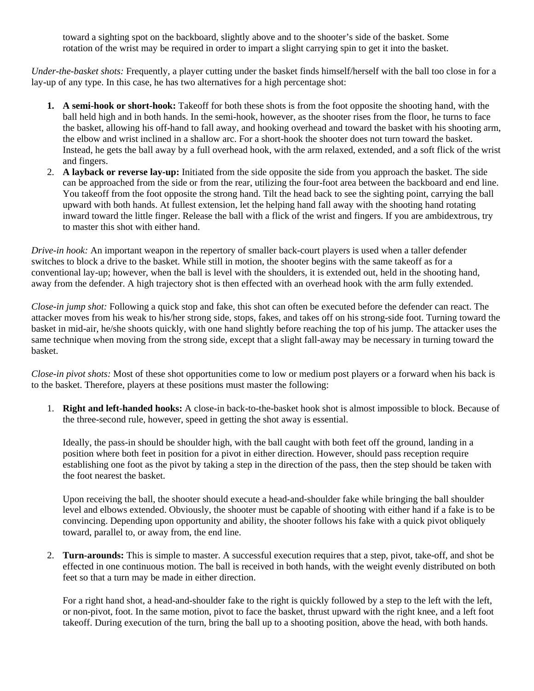toward a sighting spot on the backboard, slightly above and to the shooter's side of the basket. Some rotation of the wrist may be required in order to impart a slight carrying spin to get it into the basket.

*Under-the-basket shots:* Frequently, a player cutting under the basket finds himself/herself with the ball too close in for a lay-up of any type. In this case, he has two alternatives for a high percentage shot:

- **1. A semi-hook or short-hook:** Takeoff for both these shots is from the foot opposite the shooting hand, with the ball held high and in both hands. In the semi-hook, however, as the shooter rises from the floor, he turns to face the basket, allowing his off-hand to fall away, and hooking overhead and toward the basket with his shooting arm, the elbow and wrist inclined in a shallow arc. For a short-hook the shooter does not turn toward the basket. Instead, he gets the ball away by a full overhead hook, with the arm relaxed, extended, and a soft flick of the wrist and fingers.
- 2. **A layback or reverse lay-up:** Initiated from the side opposite the side from you approach the basket. The side can be approached from the side or from the rear, utilizing the four-foot area between the backboard and end line. You takeoff from the foot opposite the strong hand. Tilt the head back to see the sighting point, carrying the ball upward with both hands. At fullest extension, let the helping hand fall away with the shooting hand rotating inward toward the little finger. Release the ball with a flick of the wrist and fingers. If you are ambidextrous, try to master this shot with either hand.

*Drive-in hook:* An important weapon in the repertory of smaller back-court players is used when a taller defender switches to block a drive to the basket. While still in motion, the shooter begins with the same takeoff as for a conventional lay-up; however, when the ball is level with the shoulders, it is extended out, held in the shooting hand, away from the defender. A high trajectory shot is then effected with an overhead hook with the arm fully extended.

*Close-in jump shot:* Following a quick stop and fake, this shot can often be executed before the defender can react. The attacker moves from his weak to his/her strong side, stops, fakes, and takes off on his strong-side foot. Turning toward the basket in mid-air, he/she shoots quickly, with one hand slightly before reaching the top of his jump. The attacker uses the same technique when moving from the strong side, except that a slight fall-away may be necessary in turning toward the basket.

*Close-in pivot shots:* Most of these shot opportunities come to low or medium post players or a forward when his back is to the basket. Therefore, players at these positions must master the following:

1. **Right and left-handed hooks:** A close-in back-to-the-basket hook shot is almost impossible to block. Because of the three-second rule, however, speed in getting the shot away is essential.

Ideally, the pass-in should be shoulder high, with the ball caught with both feet off the ground, landing in a position where both feet in position for a pivot in either direction. However, should pass reception require establishing one foot as the pivot by taking a step in the direction of the pass, then the step should be taken with the foot nearest the basket.

Upon receiving the ball, the shooter should execute a head-and-shoulder fake while bringing the ball shoulder level and elbows extended. Obviously, the shooter must be capable of shooting with either hand if a fake is to be convincing. Depending upon opportunity and ability, the shooter follows his fake with a quick pivot obliquely toward, parallel to, or away from, the end line.

2. **Turn-arounds:** This is simple to master. A successful execution requires that a step, pivot, take-off, and shot be effected in one continuous motion. The ball is received in both hands, with the weight evenly distributed on both feet so that a turn may be made in either direction.

For a right hand shot, a head-and-shoulder fake to the right is quickly followed by a step to the left with the left, or non-pivot, foot. In the same motion, pivot to face the basket, thrust upward with the right knee, and a left foot takeoff. During execution of the turn, bring the ball up to a shooting position, above the head, with both hands.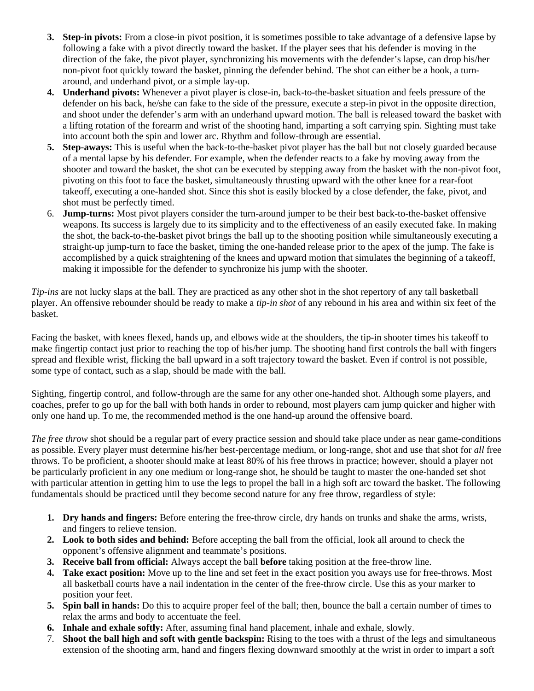- **3. Step-in pivots:** From a close-in pivot position, it is sometimes possible to take advantage of a defensive lapse by following a fake with a pivot directly toward the basket. If the player sees that his defender is moving in the direction of the fake, the pivot player, synchronizing his movements with the defender's lapse, can drop his/her non-pivot foot quickly toward the basket, pinning the defender behind. The shot can either be a hook, a turnaround, and underhand pivot, or a simple lay-up.
- **4. Underhand pivots:** Whenever a pivot player is close-in, back-to-the-basket situation and feels pressure of the defender on his back, he/she can fake to the side of the pressure, execute a step-in pivot in the opposite direction, and shoot under the defender's arm with an underhand upward motion. The ball is released toward the basket with a lifting rotation of the forearm and wrist of the shooting hand, imparting a soft carrying spin. Sighting must take into account both the spin and lower arc. Rhythm and follow-through are essential.
- **5. Step-aways:** This is useful when the back-to-the-basket pivot player has the ball but not closely guarded because of a mental lapse by his defender. For example, when the defender reacts to a fake by moving away from the shooter and toward the basket, the shot can be executed by stepping away from the basket with the non-pivot foot, pivoting on this foot to face the basket, simultaneously thrusting upward with the other knee for a rear-foot takeoff, executing a one-handed shot. Since this shot is easily blocked by a close defender, the fake, pivot, and shot must be perfectly timed.
- 6. **Jump-turns:** Most pivot players consider the turn-around jumper to be their best back-to-the-basket offensive weapons. Its success is largely due to its simplicity and to the effectiveness of an easily executed fake. In making the shot, the back-to-the-basket pivot brings the ball up to the shooting position while simultaneously executing a straight-up jump-turn to face the basket, timing the one-handed release prior to the apex of the jump. The fake is accomplished by a quick straightening of the knees and upward motion that simulates the beginning of a takeoff, making it impossible for the defender to synchronize his jump with the shooter.

*Tip-ins* are not lucky slaps at the ball. They are practiced as any other shot in the shot repertory of any tall basketball player. An offensive rebounder should be ready to make a *tip-in shot* of any rebound in his area and within six feet of the basket.

Facing the basket, with knees flexed, hands up, and elbows wide at the shoulders, the tip-in shooter times his takeoff to make fingertip contact just prior to reaching the top of his/her jump. The shooting hand first controls the ball with fingers spread and flexible wrist, flicking the ball upward in a soft trajectory toward the basket. Even if control is not possible, some type of contact, such as a slap, should be made with the ball.

Sighting, fingertip control, and follow-through are the same for any other one-handed shot. Although some players, and coaches, prefer to go up for the ball with both hands in order to rebound, most players cam jump quicker and higher with only one hand up. To me, the recommended method is the one hand-up around the offensive board.

*The free throw* shot should be a regular part of every practice session and should take place under as near game-conditions as possible. Every player must determine his/her best-percentage medium, or long-range, shot and use that shot for *all* free throws. To be proficient, a shooter should make at least 80% of his free throws in practice; however, should a player not be particularly proficient in any one medium or long-range shot, he should be taught to master the one-handed set shot with particular attention in getting him to use the legs to propel the ball in a high soft arc toward the basket. The following fundamentals should be practiced until they become second nature for any free throw, regardless of style:

- **1. Dry hands and fingers:** Before entering the free-throw circle, dry hands on trunks and shake the arms, wrists, and fingers to relieve tension.
- **2. Look to both sides and behind:** Before accepting the ball from the official, look all around to check the opponent's offensive alignment and teammate's positions.
- **3. Receive ball from official:** Always accept the ball **before** taking position at the free-throw line.
- **4. Take exact position:** Move up to the line and set feet in the exact position you aways use for free-throws. Most all basketball courts have a nail indentation in the center of the free-throw circle. Use this as your marker to position your feet.
- **5. Spin ball in hands:** Do this to acquire proper feel of the ball; then, bounce the ball a certain number of times to relax the arms and body to accentuate the feel.
- **6. Inhale and exhale softly:** After, assuming final hand placement, inhale and exhale, slowly.
- 7. **Shoot the ball high and soft with gentle backspin:** Rising to the toes with a thrust of the legs and simultaneous extension of the shooting arm, hand and fingers flexing downward smoothly at the wrist in order to impart a soft